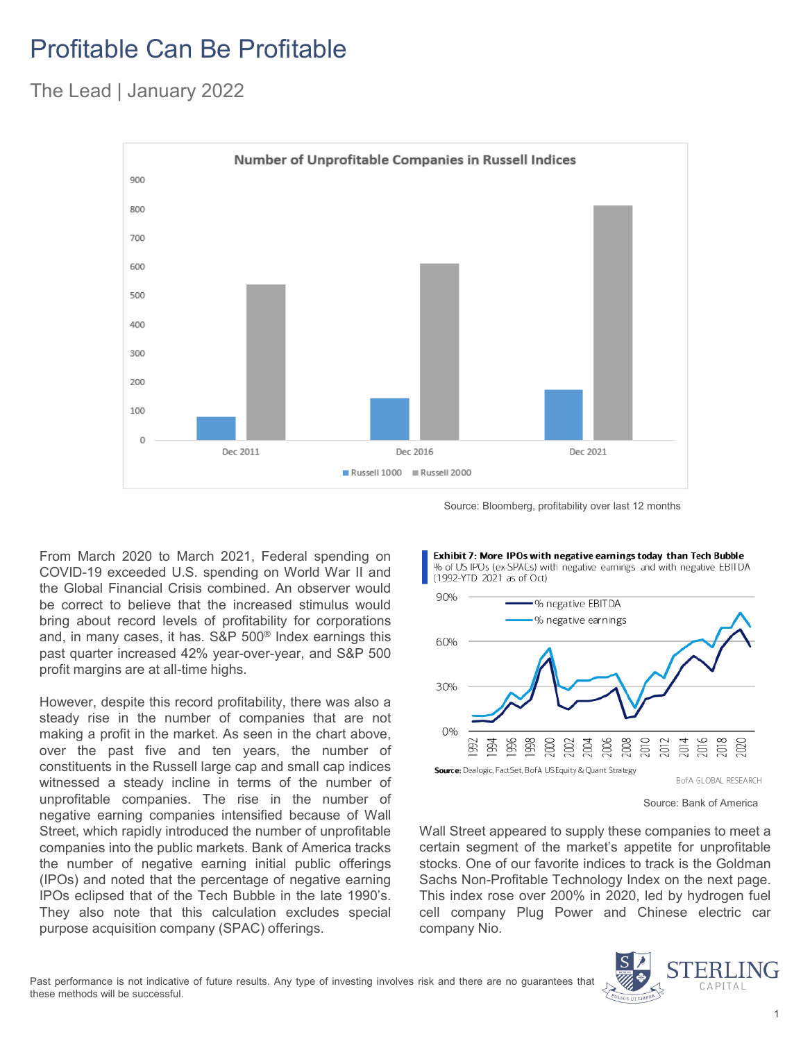## Profitable Can Be Profitable

The Lead | January 2022



Source: Bloomberg, profitability over last 12 months

From March 2020 to March 2021, Federal spending on COVID-19 exceeded U.S. spending on World War II and the Global Financial Crisis combined. An observer would be correct to believe that the increased stimulus would bring about record levels of profitability for corporations and, in many cases, it has. S&P 500® Index earnings this past quarter increased 42% year-over-year, and S&P 500 profit margins are at all-time highs.

However, despite this record profitability, there was also a steady rise in the number of companies that are not making a profit in the market. As seen in the chart above, over the past five and ten years, the number of constituents in the Russell large cap and small cap indices witnessed a steady incline in terms of the number of unprofitable companies. The rise in the number of negative earning companies intensified because of Wall Street, which rapidly introduced the number of unprofitable companies into the public markets. Bank of America tracks the number of negative earning initial public offerings (IPOs) and noted that the percentage of negative earning IPOs eclipsed that of the Tech Bubble in the late 1990's. They also note that this calculation excludes special purpose acquisition company (SPAC) offerings.



Source: Bank of America

Wall Street appeared to supply these companies to meet a certain segment of the market's appetite for unprofitable stocks. One of our favorite indices to track is the Goldman Sachs Non-Profitable Technology Index on the next page. This index rose over 200% in 2020, led by hydrogen fuel cell company Plug Power and Chinese electric car company Nio.

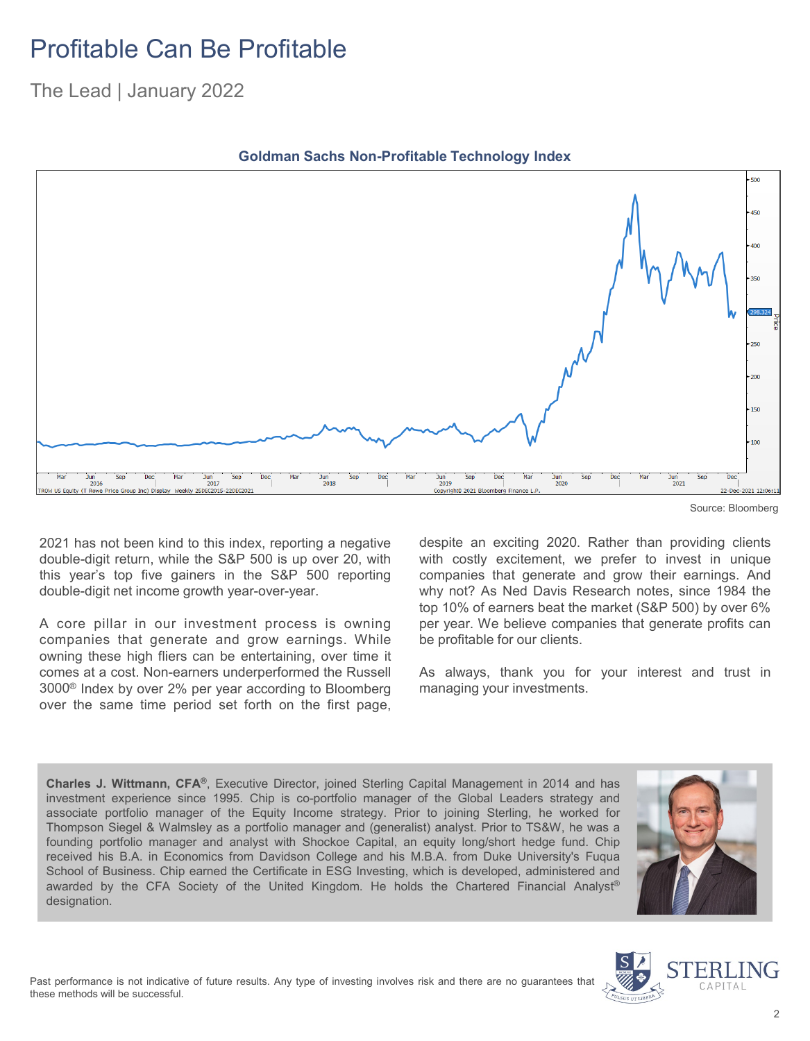## Profitable Can Be Profitable

The Lead | January 2022



**Goldman Sachs Non-Profitable Technology Index**

2021 has not been kind to this index, reporting a negative double-digit return, while the S&P 500 is up over 20, with this year's top five gainers in the S&P 500 reporting double-digit net income growth year-over-year.

A core pillar in our investment process is owning companies that generate and grow earnings. While owning these high fliers can be entertaining, over time it comes at a cost. Non-earners underperformed the Russell 3000® Index by over 2% per year according to Bloomberg over the same time period set forth on the first page,

despite an exciting 2020. Rather than providing clients with costly excitement, we prefer to invest in unique companies that generate and grow their earnings. And why not? As Ned Davis Research notes, since 1984 the top 10% of earners beat the market (S&P 500) by over 6% per year. We believe companies that generate profits can be profitable for our clients.

As always, thank you for your interest and trust in managing your investments.

**Charles J. Wittmann, CFA®**, Executive Director, joined Sterling Capital Management in 2014 and has investment experience since 1995. Chip is co-portfolio manager of the Global Leaders strategy and associate portfolio manager of the Equity Income strategy. Prior to joining Sterling, he worked for Thompson Siegel & Walmsley as a portfolio manager and (generalist) analyst. Prior to TS&W, he was a founding portfolio manager and analyst with Shockoe Capital, an equity long/short hedge fund. Chip received his B.A. in Economics from Davidson College and his M.B.A. from Duke University's Fuqua School of Business. Chip earned the Certificate in ESG Investing, which is developed, administered and awarded by the CFA Society of the United Kingdom. He holds the Chartered Financial Analyst® designation.





Source: Bloomberg